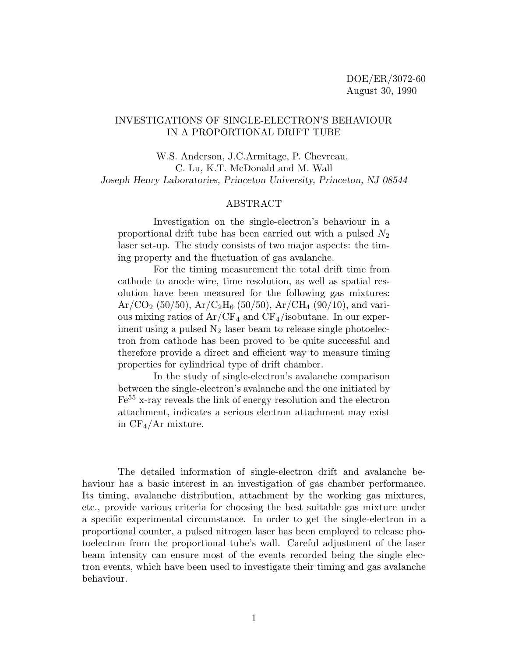# INVESTIGATIONS OF SINGLE-ELECTRON'S BEHAVIOUR IN A PROPORTIONAL DRIFT TUBE

W.S. Anderson, J.C.Armitage, P. Chevreau, C. Lu, K.T. McDonald and M. Wall *Joseph Henry Laboratories, Princeton University, Princeton, NJ 08544*

#### ABSTRACT

Investigation on the single-electron's behaviour in a proportional drift tube has been carried out with a pulsed  $N_2$ laser set-up. The study consists of two major aspects: the timing property and the fluctuation of gas avalanche.

For the timing measurement the total drift time from cathode to anode wire, time resolution, as well as spatial resolution have been measured for the following gas mixtures:  $Ar/CO<sub>2</sub>$  (50/50),  $Ar/C<sub>2</sub>H<sub>6</sub>$  (50/50),  $Ar/CH<sub>4</sub>$  (90/10), and various mixing ratios of  $Ar/CF_4$  and  $CF_4$ /isobutane. In our experiment using a pulsed  $N_2$  laser beam to release single photoelectron from cathode has been proved to be quite successful and therefore provide a direct and efficient way to measure timing properties for cylindrical type of drift chamber.

In the study of single-electron's avalanche comparison between the single-electron's avalanche and the one initiated by Fe<sup>55</sup> x-ray reveals the link of energy resolution and the electron attachment, indicates a serious electron attachment may exist in  $CF_4/Ar$  mixture.

The detailed information of single-electron drift and avalanche behaviour has a basic interest in an investigation of gas chamber performance. Its timing, avalanche distribution, attachment by the working gas mixtures, etc., provide various criteria for choosing the best suitable gas mixture under a specific experimental circumstance. In order to get the single-electron in a proportional counter, a pulsed nitrogen laser has been employed to release photoelectron from the proportional tube's wall. Careful adjustment of the laser beam intensity can ensure most of the events recorded being the single electron events, which have been used to investigate their timing and gas avalanche behaviour.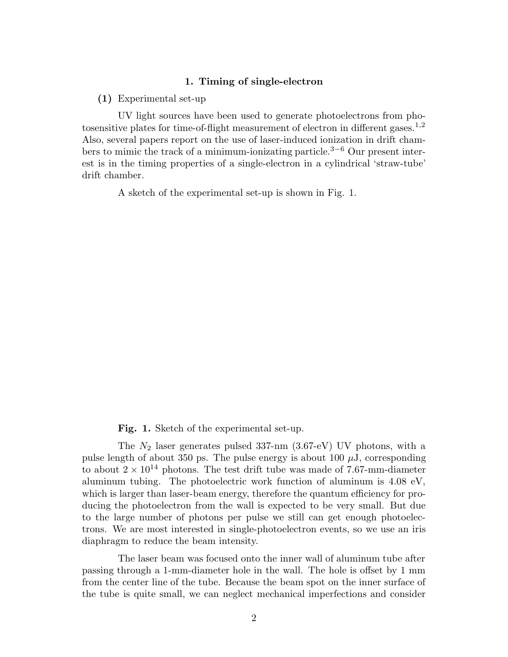#### **1. Timing of single-electron**

**(1)** Experimental set-up

UV light sources have been used to generate photoelectrons from photosensitive plates for time-of-flight measurement of electron in different gases.<sup>1</sup>*,*<sup>2</sup> Also, several papers report on the use of laser-induced ionization in drift chambers to mimic the track of a minimum-ionizating particle.<sup>3</sup>*−*<sup>6</sup> Our present interest is in the timing properties of a single-electron in a cylindrical 'straw-tube' drift chamber.

A sketch of the experimental set-up is shown in Fig. 1.

**Fig. 1.** Sketch of the experimental set-up.

The  $N_2$  laser generates pulsed 337-nm  $(3.67-eV)$  UV photons, with a pulse length of about 350 ps. The pulse energy is about 100  $\mu$ J, corresponding to about  $2 \times 10^{14}$  photons. The test drift tube was made of 7.67-mm-diameter aluminum tubing. The photoelectric work function of aluminum is 4.08 eV, which is larger than laser-beam energy, therefore the quantum efficiency for producing the photoelectron from the wall is expected to be very small. But due to the large number of photons per pulse we still can get enough photoelectrons. We are most interested in single-photoelectron events, so we use an iris diaphragm to reduce the beam intensity.

The laser beam was focused onto the inner wall of aluminum tube after passing through a 1-mm-diameter hole in the wall. The hole is offset by 1 mm from the center line of the tube. Because the beam spot on the inner surface of the tube is quite small, we can neglect mechanical imperfections and consider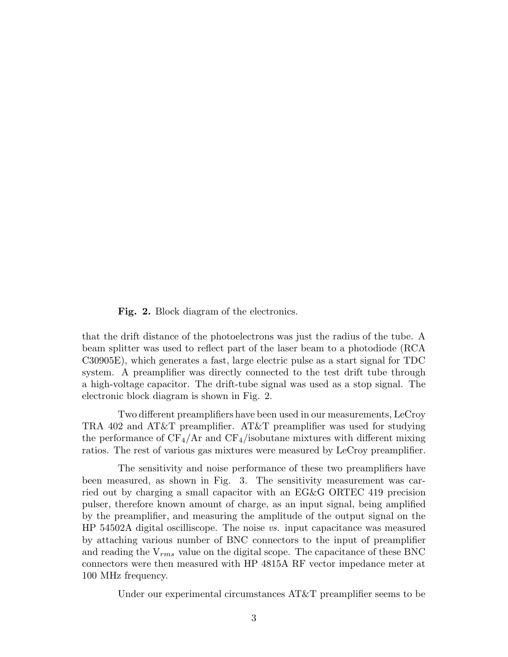**Fig. 2.** Block diagram of the electronics.

that the drift distance of the photoelectrons was just the radius of the tube. A beam splitter was used to reflect part of the laser beam to a photodiode (RCA C30905E), which generates a fast, large electric pulse as a start signal for TDC system. A preamplifier was directly connected to the test drift tube through a high-voltage capacitor. The drift-tube signal was used as a stop signal. The electronic block diagram is shown in Fig. 2.

Two different preamplifiers have been used in our measurements, LeCroy TRA 402 and AT&T preamplifier. AT&T preamplifier was used for studying the performance of  $CF_4/Ar$  and  $CF_4/isobutane$  mixtures with different mixing ratios. The rest of various gas mixtures were measured by LeCroy preamplifier.

The sensitivity and noise performance of these two preamplifiers have been measured, as shown in Fig. 3. The sensitivity measurement was carried out by charging a small capacitor with an EG&G ORTEC 419 precision pulser, therefore known amount of charge, as an input signal, being amplified by the preamplifier, and measuring the amplitude of the output signal on the HP 54502A digital oscilliscope. The noise *vs.* input capacitance was measured by attaching various number of BNC connectors to the input of preamplifier and reading the V*rms* value on the digital scope. The capacitance of these BNC connectors were then measured with HP 4815A RF vector impedance meter at 100 MHz frequency.

Under our experimental circumstances AT&T preamplifier seems to be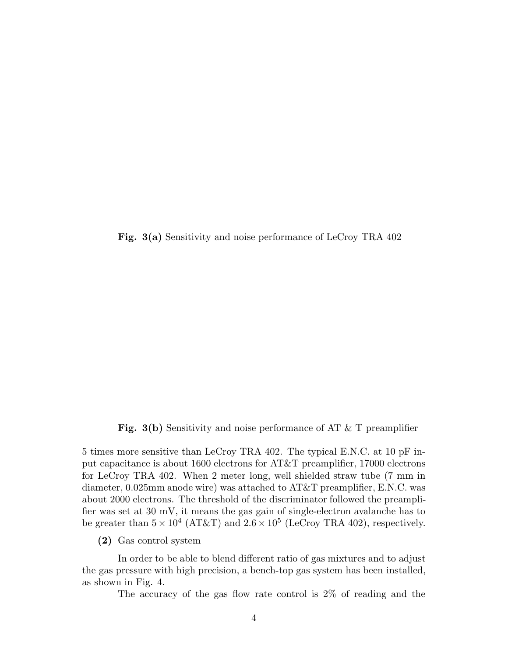**Fig. 3(a)** Sensitivity and noise performance of LeCroy TRA 402

**Fig. 3(b)** Sensitivity and noise performance of AT & T preamplifier

5 times more sensitive than LeCroy TRA 402. The typical E.N.C. at 10 pF input capacitance is about 1600 electrons for AT&T preamplifier, 17000 electrons for LeCroy TRA 402. When 2 meter long, well shielded straw tube (7 mm in diameter, 0.025mm anode wire) was attached to AT&T preamplifier, E.N.C. was about 2000 electrons. The threshold of the discriminator followed the preamplifier was set at 30 mV, it means the gas gain of single-electron avalanche has to be greater than  $5 \times 10^4$  (AT&T) and  $2.6 \times 10^5$  (LeCroy TRA 402), respectively.

**(2)** Gas control system

In order to be able to blend different ratio of gas mixtures and to adjust the gas pressure with high precision, a bench-top gas system has been installed, as shown in Fig. 4.

The accuracy of the gas flow rate control is 2% of reading and the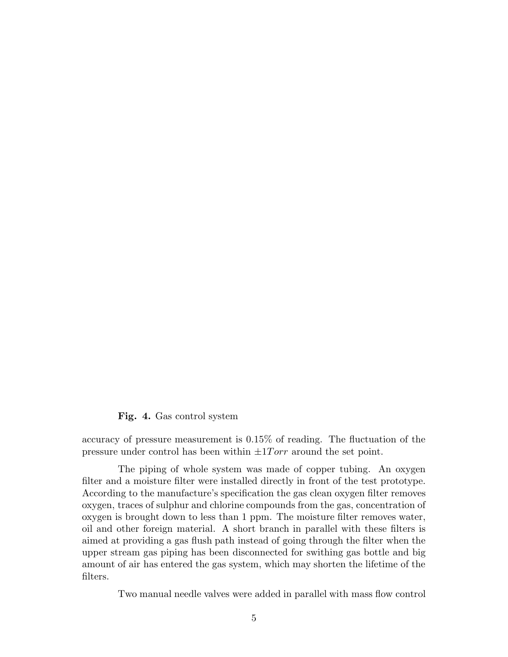## **Fig. 4.** Gas control system

accuracy of pressure measurement is 0.15% of reading. The fluctuation of the pressure under control has been within  $\pm 1Torr$  around the set point.

The piping of whole system was made of copper tubing. An oxygen filter and a moisture filter were installed directly in front of the test prototype. According to the manufacture's specification the gas clean oxygen filter removes oxygen, traces of sulphur and chlorine compounds from the gas, concentration of oxygen is brought down to less than 1 ppm. The moisture filter removes water, oil and other foreign material. A short branch in parallel with these filters is aimed at providing a gas flush path instead of going through the filter when the upper stream gas piping has been disconnected for swithing gas bottle and big amount of air has entered the gas system, which may shorten the lifetime of the filters.

Two manual needle valves were added in parallel with mass flow control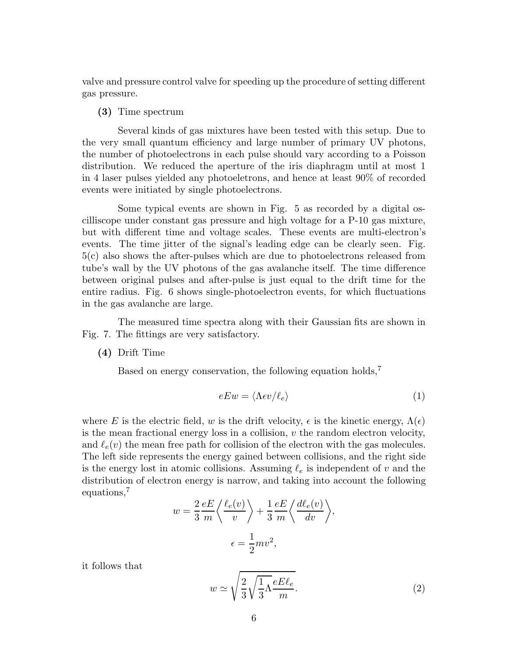valve and pressure control valve for speeding up the procedure of setting different gas pressure.

#### **(3)** Time spectrum

Several kinds of gas mixtures have been tested with this setup. Due to the very small quantum efficiency and large number of primary UV photons, the number of photoelectrons in each pulse should vary according to a Poisson distribution. We reduced the aperture of the iris diaphragm until at most 1 in 4 laser pulses yielded any photoeletrons, and hence at least 90% of recorded events were initiated by single photoelectrons.

Some typical events are shown in Fig. 5 as recorded by a digital oscilliscope under constant gas pressure and high voltage for a P-10 gas mixture, but with different time and voltage scales. These events are multi-electron's events. The time jitter of the signal's leading edge can be clearly seen. Fig. 5(c) also shows the after-pulses which are due to photoelectrons released from tube's wall by the UV photons of the gas avalanche itself. The time difference between original pulses and after-pulse is just equal to the drift time for the entire radius. Fig. 6 shows single-photoelectron events, for which fluctuations in the gas avalanche are large.

The measured time spectra along with their Gaussian fits are shown in Fig. 7. The fittings are very satisfactory.

**(4)** Drift Time

Based on energy conservation, the following equation holds,<sup>7</sup>

$$
eEw = \langle \Lambda \epsilon v / \ell_e \rangle \tag{1}
$$

where E is the electric field, w is the drift velocity,  $\epsilon$  is the kinetic energy,  $\Lambda(\epsilon)$ is the mean fractional energy loss in a collision,  $v$  the random electron velocity, and  $\ell_e(v)$  the mean free path for collision of the electron with the gas molecules. The left side represents the energy gained between collisions, and the right side is the energy lost in atomic collisions. Assuming  $\ell_e$  is independent of v and the distribution of electron energy is narrow, and taking into account the following equations,<sup>7</sup>

$$
w = \frac{2}{3} \frac{eE}{m} \left\langle \frac{\ell_e(v)}{v} \right\rangle + \frac{1}{3} \frac{eE}{m} \left\langle \frac{d\ell_e(v)}{dv} \right\rangle,
$$
  

$$
\epsilon = \frac{1}{2} m v^2,
$$

it follows that

$$
w \simeq \sqrt{\frac{2}{3}\sqrt{\frac{1}{3}\Lambda}} \frac{eE\ell_e}{m}.
$$
 (2)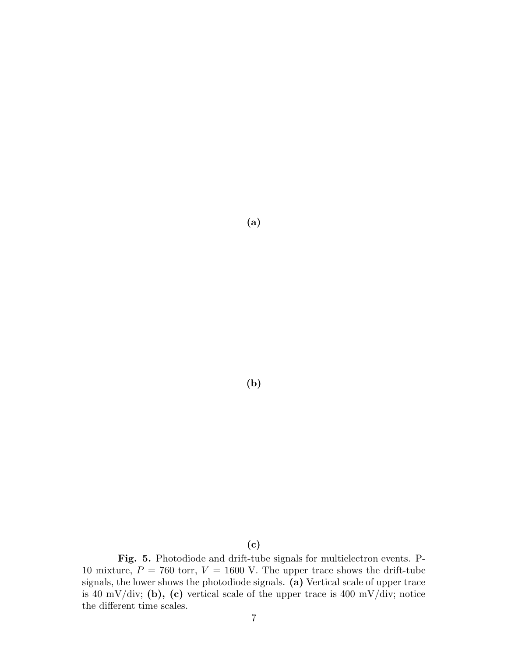**(a)**

**(b)**

**Fig. 5.** Photodiode and drift-tube signals for multielectron events. P-<br>
re  $P = 760$  torr  $V = 1600$  V. The upper trace shows the drift-tube 10 mixture,  $P = 760$  torr,  $V = 1600$  V. The upper trace shows the drift-tube signals, the lower shows the photodiode signals. **(a)** Vertical scale of upper trace is 40 mV/div; **(b), (c)** vertical scale of the upper trace is 400 mV/div; notice the different time scales.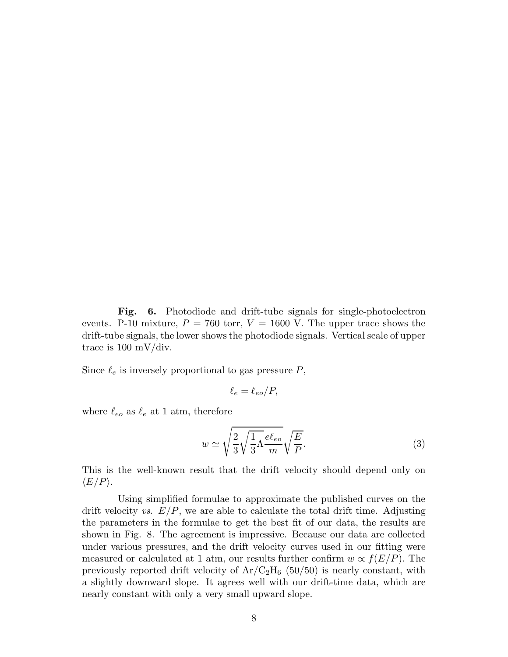Fig. 6. Photodiode and drift-tube signals for single-photoelectron events. P-10 mixture,  $P = 760$  torr,  $V = 1600$  V. The upper trace shows the drift-tube signals, the lower shows the photodiode signals. Vertical scale of upper trace is 100 mV/div.

Since  $\ell_e$  is inversely proportional to gas pressure  $P$ ,

$$
\ell_e = \ell_{eo}/P,
$$

where  $\ell_{eo}$  as  $\ell_e$  at 1 atm, therefore

$$
w \simeq \sqrt{\frac{2}{3}\sqrt{\frac{1}{3}\Lambda}} \frac{e\ell_{eo}}{m} \sqrt{\frac{E}{P}}.
$$
 (3)

This is the well-known result that the drift velocity should depend only on  $\langle E/P \rangle$ .

Using simplified formulae to approximate the published curves on the drift velocity *vs*. E/P, we are able to calculate the total drift time. Adjusting the parameters in the formulae to get the best fit of our data, the results are shown in Fig. 8. The agreement is impressive. Because our data are collected under various pressures, and the drift velocity curves used in our fitting were measured or calculated at 1 atm, our results further confirm  $w \propto f(E/P)$ . The previously reported drift velocity of  $Ar/C<sub>2</sub>H<sub>6</sub>$  (50/50) is nearly constant, with a slightly downward slope. It agrees well with our drift-time data, which are nearly constant with only a very small upward slope.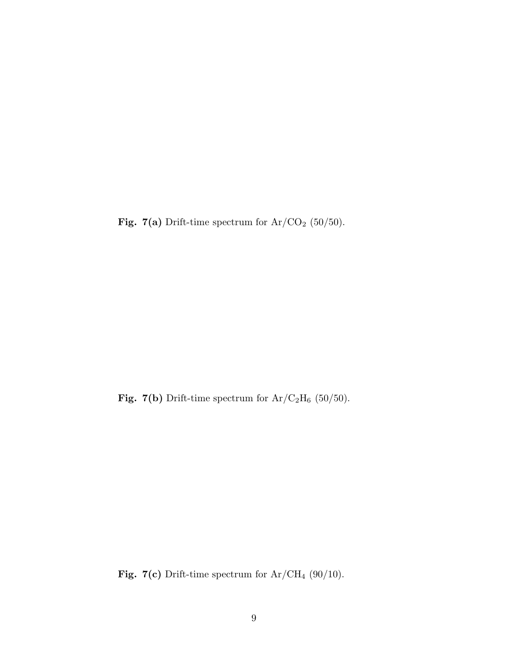**Fig. 7(a)** Drift-time spectrum for  $Ar/CO<sub>2</sub>$  (50/50).

Fig. 7(b) Drift-time spectrum for  $Ar/C<sub>2</sub>H<sub>6</sub>$  (50/50).

Fig. 7(c) Drift-time spectrum for  $Ar/CH_4$  (90/10).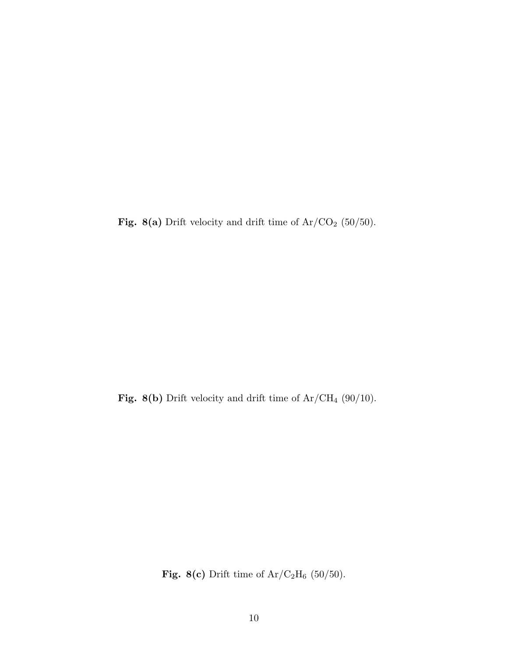**Fig. 8(a)** Drift velocity and drift time of  $Ar/CO<sub>2</sub>$  (50/50).

Fig. 8(b) Drift velocity and drift time of  $Ar/CH_4$  (90/10).

**Fig. 8(c)** Drift time of  $Ar/C_2H_6$  (50/50).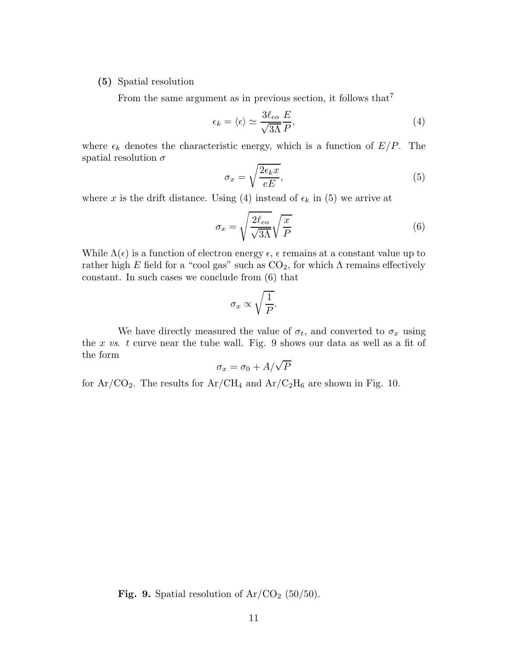## **(5)** Spatial resolution

From the same argument as in previous section, it follows that<sup>7</sup>

$$
\epsilon_k = \langle \epsilon \rangle \simeq \frac{3\ell_{eo}}{\sqrt{3\Lambda}} \frac{E}{P},\tag{4}
$$

where  $\epsilon_k$  denotes the characteristic energy, which is a function of  $E/P$ . The spatial resolution  $\sigma$ 

$$
\sigma_x = \sqrt{\frac{2\epsilon_k x}{eE}},\tag{5}
$$

where x is the drift distance. Using (4) instead of  $\epsilon_k$  in (5) we arrive at

$$
\sigma_x = \sqrt{\frac{2\ell_{eo}}{\sqrt{3\Lambda}}} \sqrt{\frac{x}{P}}
$$
\n(6)

While  $\Lambda(\epsilon)$  is a function of electron energy  $\epsilon$ ,  $\epsilon$  remains at a constant value up to rather high E field for a "cool gas" such as  $CO_2$ , for which  $\Lambda$  remains effectively constant. In such cases we conclude from (6) that

$$
\sigma_x \propto \sqrt{\frac{1}{P}}.
$$

We have directly measured the value of  $\sigma_t$ , and converted to  $\sigma_x$  using the x *vs*. t curve near the tube wall. Fig. 9 shows our data as well as a fit of the form

$$
\sigma_x = \sigma_0 + A/\sqrt{P}
$$

for  $Ar/CO_2$ . The results for  $Ar/CH_4$  and  $Ar/C_2H_6$  are shown in Fig. 10.

**Fig. 9.** Spatial resolution of  $Ar/CO<sub>2</sub>$  (50/50).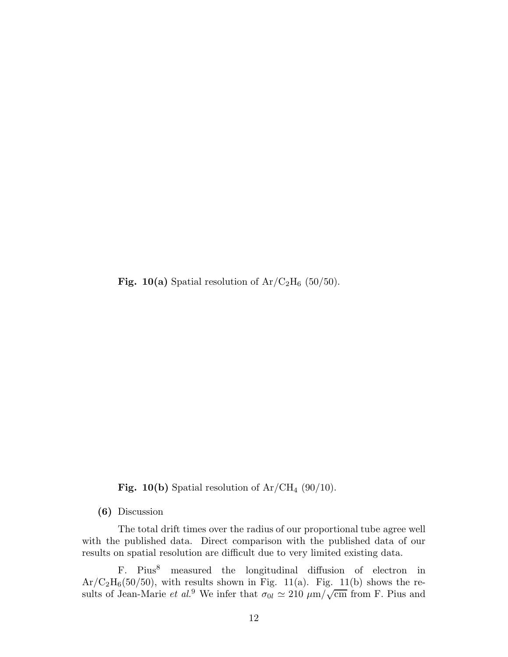**Fig. 10(a)** Spatial resolution of  $Ar/C_2H_6$  (50/50).

**Fig. 10(b)** Spatial resolution of  $Ar/CH_4$  (90/10).

**(6)** Discussion

The total drift times over the radius of our proportional tube agree well with the published data. Direct comparison with the published data of our results on spatial resolution are difficult due to very limited existing data.

F. Pius $\delta$  measured the longitudinal diffusion of electron in  $Ar/C<sub>2</sub>H<sub>6</sub>(50/50)$ , with results shown in Fig. 11(a). Fig. 11(b) shows the results of Jean-Marie *et al.*<sup>9</sup> We infer that  $\sigma_{0l} \simeq 210 \mu m/\sqrt{cm}$  from F. Pius and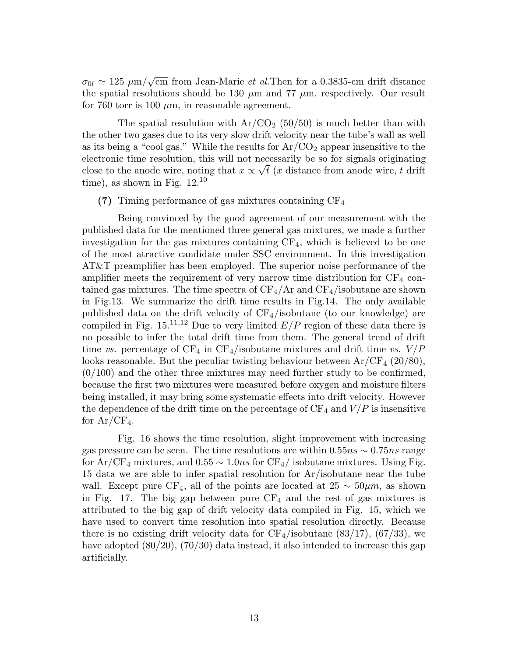$\sigma_{0l} \simeq 125 \ \mu m/\sqrt{cm}$  from Jean-Marie *et al.*Then for a 0.3835-cm drift distance the spatial resolutions should be 130  $\mu$ m and 77  $\mu$ m, respectively. Our result for 760 torr is 100  $\mu$ m, in reasonable agreement.

The spatial resulution with  $Ar/CO<sub>2</sub>$  (50/50) is much better than with the other two gases due to its very slow drift velocity near the tube's wall as well as its being a "cool gas." While the results for  $Ar/CO<sub>2</sub>$  appear insensitive to the electronic time resolution, this will not necessarily be so for signals originating close to the anode wire, noting that  $x \propto \sqrt{t}$  (x distance from anode wire, t drift time), as shown in Fig. 12.<sup>10</sup>

**(7)** Timing performance of gas mixtures containing CF<sup>4</sup>

Being convinced by the good agreement of our measurement with the published data for the mentioned three general gas mixtures, we made a further investigation for the gas mixtures containing  $CF_4$ , which is believed to be one of the most atractive candidate under SSC environment. In this investigation AT&T preamplifier has been employed. The superior noise performance of the amplifier meets the requirement of very narrow time distribution for  $CF_4$  contained gas mixtures. The time spectra of  $CF_4/Ar$  and  $CF_4/$ isobutane are shown in Fig.13. We summarize the drift time results in Fig.14. The only available published data on the drift velocity of  $CF_4$ /isobutane (to our knowledge) are compiled in Fig.  $15^{11,12}$  Due to very limited  $E/P$  region of these data there is no possible to infer the total drift time from them. The general trend of drift time *vs.* percentage of  $CF_4$  in  $CF_4$ /isobutane mixtures and drift time *vs.*  $V/P$ looks reasonable. But the peculiar twisting behaviour between  $Ar/CF<sub>4</sub>$  (20/80),  $(0/100)$  and the other three mixtures may need further study to be confirmed, because the first two mixtures were measured before oxygen and moisture filters being installed, it may bring some systematic effects into drift velocity. However the dependence of the drift time on the percentage of  $CF_4$  and  $V/P$  is insensitive for  $Ar/CF_4$ .

Fig. 16 shows the time resolution, slight improvement with increasing gas pressure can be seen. The time resolutions are within  $0.55ns \sim 0.75ns$  range for  $Ar/CF_4$  mixtures, and  $0.55 \sim 1.0ns$  for  $CF_4/$  isobutane mixtures. Using Fig. 15 data we are able to infer spatial resolution for Ar/isobutane near the tube wall. Except pure CF<sub>4</sub>, all of the points are located at  $25 \sim 50 \mu m$ , as shown in Fig. 17. The big gap between pure  $CF_4$  and the rest of gas mixtures is attributed to the big gap of drift velocity data compiled in Fig. 15, which we have used to convert time resolution into spatial resolution directly. Because there is no existing drift velocity data for  $CF_4$ /isobutane (83/17), (67/33), we have adopted  $(80/20)$ ,  $(70/30)$  data instead, it also intended to increase this gap artificially.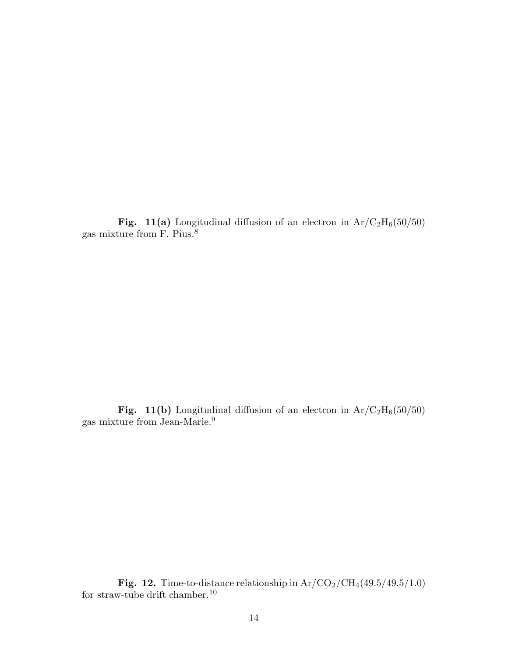**Fig. 11(a)** Longitudinal diffusion of an electron in  $Ar/C_2H_6(50/50)$  gas mixture from F. Pius.<sup>8</sup>

**Fig. 11(b)** Longitudinal diffusion of an electron in  $Ar/C_2H_6(50/50)$  gas mixture from Jean-Marie.<sup>9</sup>

**Fig. 12.** Time-to-distance relationship in  $Ar/CO_2/CH_4(49.5/49.5/1.0)$  for straw-tube drift chamber.<sup>10</sup>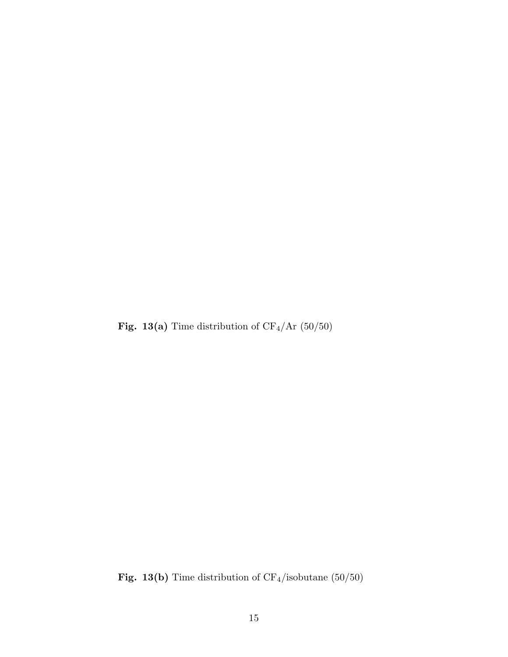Fig. 13(a) Time distribution of  $CF_4/Ar$  (50/50)

Fig. 13(b) Time distribution of  $\mathrm{CF}_4/\mathrm{isobutane}$   $(50/50)$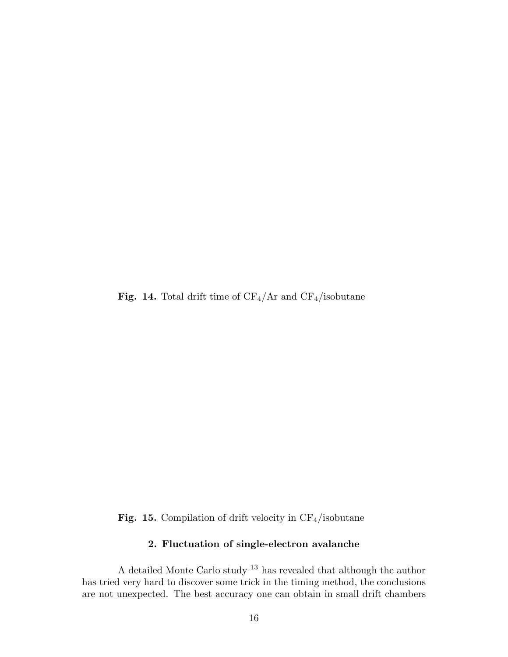**Fig. 14.** Total drift time of  $CF_4/Ar$  and  $CF_4/$ isobutane

**Fig. 15.** Compilation of drift velocity in  $CF_4$ /isobutane

# **2. Fluctuation of single-electron avalanche**

A detailed Monte Carlo study  $^{13}$  has revealed that although the author has tried very hard to discover some trick in the timing method, the conclusions are not unexpected. The best accuracy one can obtain in small drift chambers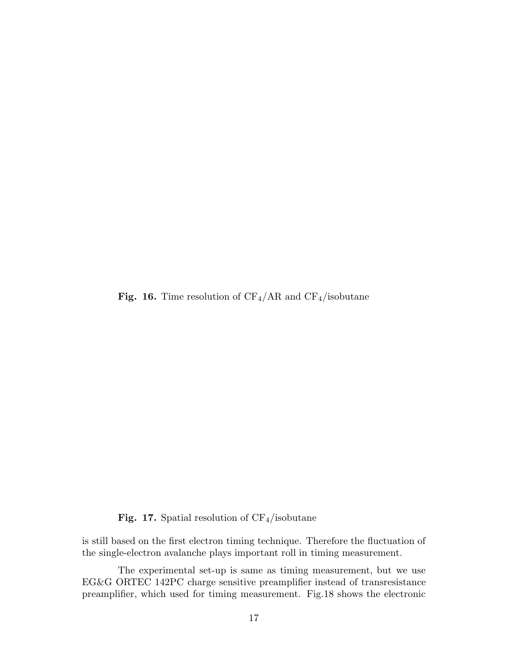**Fig. 16.** Time resolution of  $CF_4/AR$  and  $CF_4/$ isobutane

# **Fig. 17.** Spatial resolution of  $CF_4$ /isobutane

is still based on the first electron timing technique. Therefore the fluctuation of the single-electron avalanche plays important roll in timing measurement.

The experimental set-up is same as timing measurement, but we use EG&G ORTEC 142PC charge sensitive preamplifier instead of transresistance preamplifier, which used for timing measurement. Fig.18 shows the electronic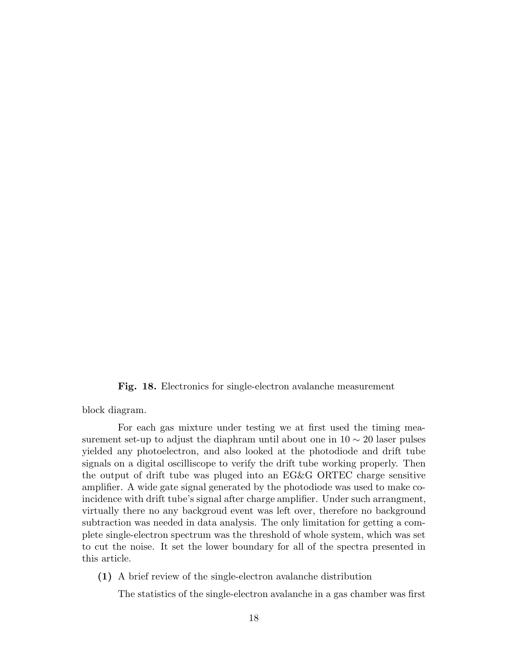**Fig. 18.** Electronics for single-electron avalanche measurement

block diagram.

For each gas mixture under testing we at first used the timing measurement set-up to adjust the diaphram until about one in  $10 \sim 20$  laser pulses yielded any photoelectron, and also looked at the photodiode and drift tube signals on a digital oscilliscope to verify the drift tube working properly. Then the output of drift tube was pluged into an EG&G ORTEC charge sensitive amplifier. A wide gate signal generated by the photodiode was used to make coincidence with drift tube's signal after charge amplifier. Under such arrangment, virtually there no any backgroud event was left over, therefore no background subtraction was needed in data analysis. The only limitation for getting a complete single-electron spectrum was the threshold of whole system, which was set to cut the noise. It set the lower boundary for all of the spectra presented in this article.

**(1)** A brief review of the single-electron avalanche distribution

The statistics of the single-electron avalanche in a gas chamber was first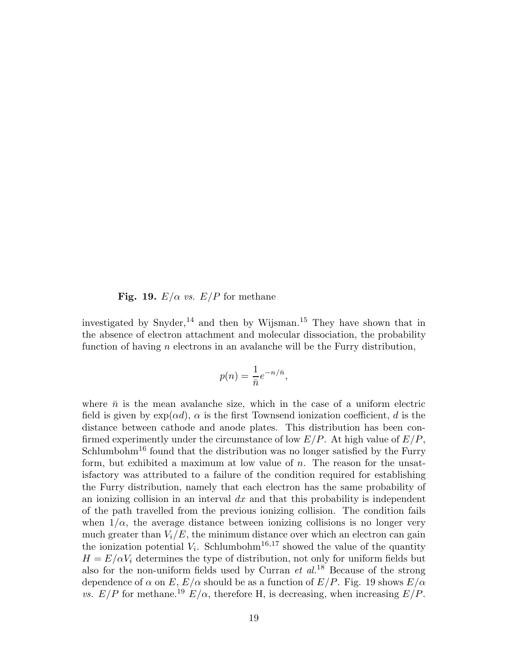**Fig. 19.**  $E/\alpha$  *vs.*  $E/P$  for methane

investigated by Snyder,<sup>14</sup> and then by Wijsman.<sup>15</sup> They have shown that in the absence of electron attachment and molecular dissociation, the probability function of having  $n$  electrons in an avalanche will be the Furry distribution,

$$
p(n) = \frac{1}{\bar{n}}e^{-n/\bar{n}},
$$

where  $\bar{n}$  is the mean avalanche size, which in the case of a uniform electric field is given by  $\exp(\alpha d)$ ,  $\alpha$  is the first Townsend ionization coefficient, d is the distance between cathode and anode plates. This distribution has been confirmed experimently under the circumstance of low  $E/P$ . At high value of  $E/P$ ,  $Schlumbohm<sup>16</sup>$  found that the distribution was no longer satisfied by the Furry form, but exhibited a maximum at low value of  $n$ . The reason for the unsatisfactory was attributed to a failure of the condition required for establishing the Furry distribution, namely that each electron has the same probability of an ionizing collision in an interval  $dx$  and that this probability is independent of the path travelled from the previous ionizing collision. The condition fails when  $1/\alpha$ , the average distance between ionizing collisions is no longer very much greater than  $V_i/E$ , the minimum distance over which an electron can gain the ionization potential  $V_i$ . Schlumbohm<sup>16,17</sup> showed the value of the quantity  $H = E/\alpha V_i$  determines the type of distribution, not only for uniform fields but also for the non-uniform fields used by Curran *et al.*<sup>18</sup> Because of the strong dependence of  $\alpha$  on E,  $E/\alpha$  should be as a function of  $E/P$ . Fig. 19 shows  $E/\alpha$ *vs.*  $E/P$  for methane.<sup>19</sup>  $E/\alpha$ , therefore H, is decreasing, when increasing  $E/P$ .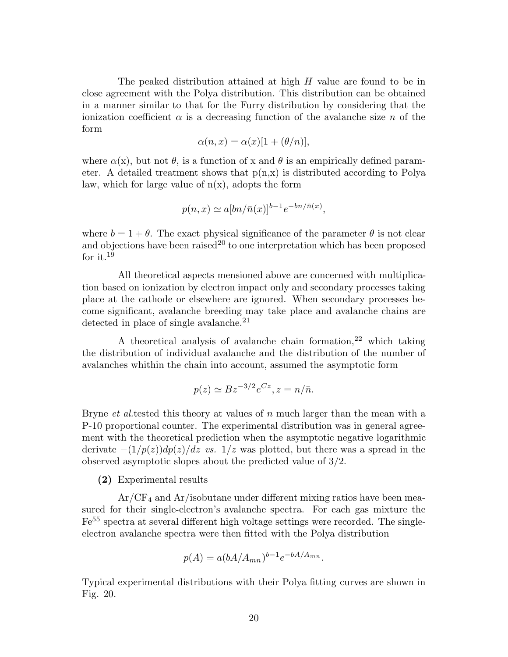The peaked distribution attained at high  $H$  value are found to be in close agreement with the Polya distribution. This distribution can be obtained in a manner similar to that for the Furry distribution by considering that the ionization coefficient  $\alpha$  is a decreasing function of the avalanche size n of the form

$$
\alpha(n, x) = \alpha(x)[1 + (\theta/n)],
$$

where  $\alpha(x)$ , but not  $\theta$ , is a function of x and  $\theta$  is an empirically defined parameter. A detailed treatment shows that  $p(n,x)$  is distributed according to Polya law, which for large value of  $n(x)$ , adopts the form

$$
p(n,x) \simeq a[bn/\bar{n}(x)]^{b-1}e^{-bn/\bar{n}(x)},
$$

where  $b = 1 + \theta$ . The exact physical significance of the parameter  $\theta$  is not clear and objections have been raised<sup>20</sup> to one interpretation which has been proposed for it.<sup>19</sup>

All theoretical aspects mensioned above are concerned with multiplication based on ionization by electron impact only and secondary processes taking place at the cathode or elsewhere are ignored. When secondary processes become significant, avalanche breeding may take place and avalanche chains are detected in place of single avalanche.<sup>21</sup>

A theoretical analysis of avalanche chain formation,  $22$  which taking the distribution of individual avalanche and the distribution of the number of avalanches whithin the chain into account, assumed the asymptotic form

$$
p(z) \simeq Bz^{-3/2}e^{Cz}, z = n/\bar{n}.
$$

Bryne *et al.*tested this theory at values of n much larger than the mean with a P-10 proportional counter. The experimental distribution was in general agreement with the theoretical prediction when the asymptotic negative logarithmic derivate  $-(1/p(z))dp(z)/dz$  *vs.* 1/z was plotted, but there was a spread in the observed asymptotic slopes about the predicted value of 3/2.

**(2)** Experimental results

 $Ar/CF<sub>4</sub>$  and  $Ar/isobutane$  under different mixing ratios have been measured for their single-electron's avalanche spectra. For each gas mixture the Fe<sup>55</sup> spectra at several different high voltage settings were recorded. The singleelectron avalanche spectra were then fitted with the Polya distribution

$$
p(A) = a(bA/A_{mn})^{b-1}e^{-bA/A_{mn}}.
$$

Typical experimental distributions with their Polya fitting curves are shown in Fig. 20.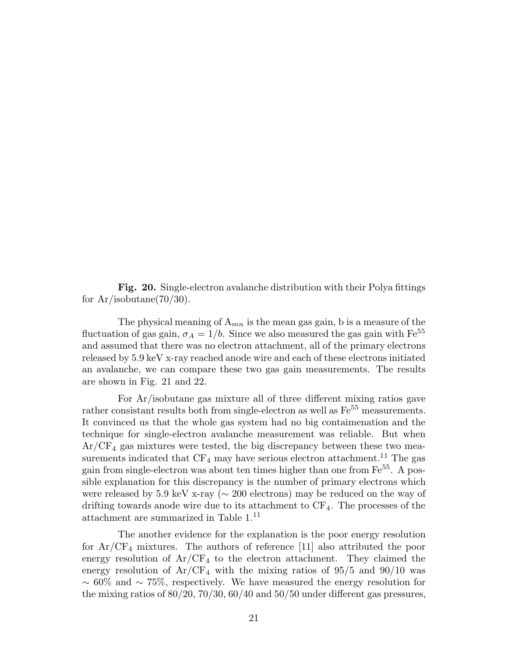**Fig. 20.** Single-electron avalanche distribution with their Polya fittings for  $Ar/isobutane(70/30)$ .

The physical meaning of  $A_{mn}$  is the mean gas gain, b is a measure of the fluctuation of gas gain,  $\sigma_A = 1/b$ . Since we also measured the gas gain with Fe<sup>55</sup> and assumed that there was no electron attachment, all of the primary electrons released by 5.9 keV x-ray reached anode wire and each of these electrons initiated an avalanche, we can compare these two gas gain measurements. The results are shown in Fig. 21 and 22.

For Ar/isobutane gas mixture all of three different mixing ratios gave rather consistant results both from single-electron as well as  $Fe<sup>55</sup>$  measurements. It convinced us that the whole gas system had no big contaimenation and the technique for single-electron avalanche measurement was reliable. But when Ar/CF<sup>4</sup> gas mixtures were tested, the big discrepancy between these two measurements indicated that  $CF_4$  may have serious electron attachment.<sup>11</sup> The gas gain from single-electron was about ten times higher than one from  $Fe^{55}$ . A possible explanation for this discrepancy is the number of primary electrons which were released by 5.9 keV x-ray (∼ 200 electrons) may be reduced on the way of drifting towards anode wire due to its attachment to  $CF_4$ . The processes of the attachment are summarized in Table 1.<sup>11</sup>

The another evidence for the explanation is the poor energy resolution for  $Ar/CF_4$  mixtures. The authors of reference [11] also attributed the poor energy resolution of  $Ar/CF_4$  to the electron attachment. They claimed the energy resolution of  $Ar/CF_4$  with the mixing ratios of 95/5 and 90/10 was  $~\sim 60\%$  and  $~\sim 75\%$ , respectively. We have measured the energy resolution for the mixing ratios of  $80/20$ ,  $70/30$ ,  $60/40$  and  $50/50$  under different gas pressures,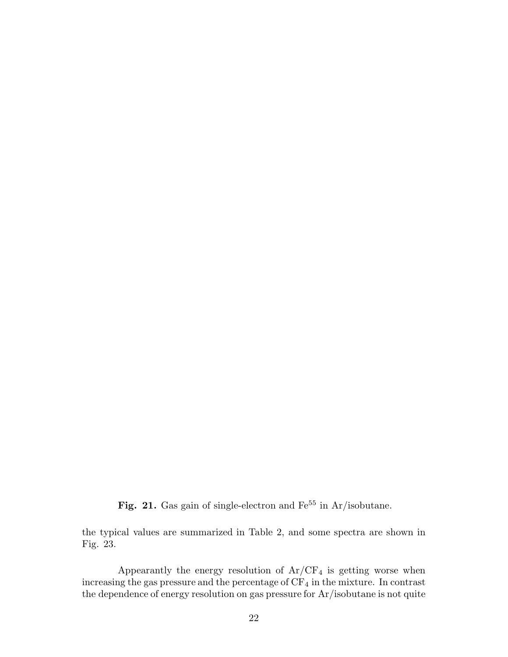Fig. 21. Gas gain of single-electron and Fe<sup>55</sup> in Ar/isobutane.

the typical values are summarized in Table 2, and some spectra are shown in Fig. 23.

Appearantly the energy resolution of  $Ar/CF<sub>4</sub>$  is getting worse when increasing the gas pressure and the percentage of  $\rm CF_4$  in the mixture. In contrast the dependence of energy resolution on gas pressure for Ar/isobutane is not quite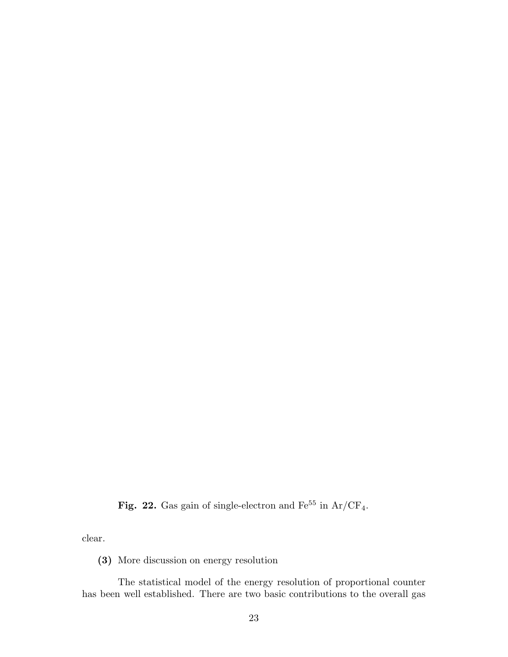Fig. 22. Gas gain of single-electron and  $Fe^{55}$  in Ar/CF<sub>4</sub>.

clear.

**(3)** More discussion on energy resolution

The statistical model of the energy resolution of proportional counter has been well established. There are two basic contributions to the overall gas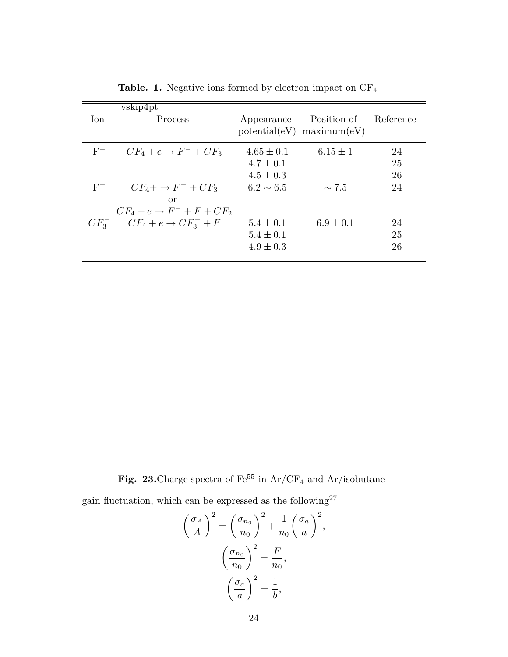| Ion.  | vskip4pt<br>Process                     | Appearance     | Position of<br>$potential(eV)$ maximum $(eV)$ | Reference |
|-------|-----------------------------------------|----------------|-----------------------------------------------|-----------|
| $F^-$ | $CF_4 + e \rightarrow F^- + CF_3$       | $4.65 \pm 0.1$ | $6.15 \pm 1$                                  | 24        |
|       |                                         | $4.7 \pm 0.1$  |                                               | 25        |
|       |                                         | $4.5 \pm 0.3$  |                                               | 26        |
| $F^-$ | $CF_4 + \rightarrow F^- + CF_3$         | $6.2 \sim 6.5$ | $\sim 7.5$                                    | 24        |
|       | or                                      |                |                                               |           |
|       | $CF_4 + e \rightarrow F^- + F + CF_2$   |                |                                               |           |
|       | $CF_3^ CF_4 + e \rightarrow CF_3^- + F$ | $5.4 \pm 0.1$  | $6.9 \pm 0.1$                                 | 24        |
|       |                                         | $5.4 \pm 0.1$  |                                               | 25        |
|       |                                         | $4.9 \pm 0.3$  |                                               | 26        |

**Table. 1.** Negative ions formed by electron impact on CF<sup>4</sup>

þ

Fig. 23.<br>Charge spectra of  $\rm Fe^{55}$  in  $\rm Ar/CF_4$  and<br>  $\rm Ar/isobutane$ 

gain fluctuation, which can be expressed as the following  $27\,$ 

$$
\left(\frac{\sigma_A}{A}\right)^2 = \left(\frac{\sigma_{n_0}}{n_0}\right)^2 + \frac{1}{n_0} \left(\frac{\sigma_a}{a}\right)^2,
$$

$$
\left(\frac{\sigma_{n_0}}{n_0}\right)^2 = \frac{F}{n_0},
$$

$$
\left(\frac{\sigma_a}{a}\right)^2 = \frac{1}{b},
$$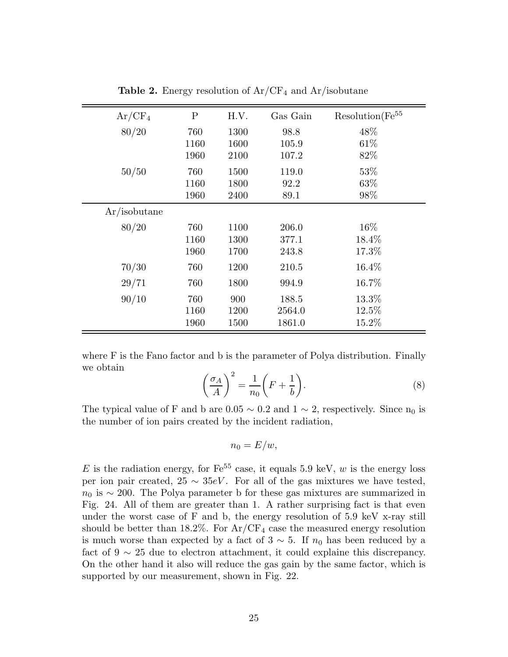| $Ar/CF_4$    | $\mathbf P$ | H.V. | Gas Gain | $Resolution(Fe^{55}$ |
|--------------|-------------|------|----------|----------------------|
| 80/20        | 760         | 1300 | 98.8     | 48\%                 |
|              | 1160        | 1600 | 105.9    | 61\%                 |
|              | 1960        | 2100 | 107.2    | 82%                  |
| 50/50        | 760         | 1500 | 119.0    | 53%                  |
|              | 1160        | 1800 | 92.2     | 63%                  |
|              | 1960        | 2400 | 89.1     | 98%                  |
| Ar/isobutane |             |      |          |                      |
| 80/20        | 760         | 1100 | 206.0    | $16\%$               |
|              | 1160        | 1300 | 377.1    | 18.4%                |
|              | 1960        | 1700 | 243.8    | 17.3%                |
| 70/30        | 760         | 1200 | 210.5    | 16.4%                |
| 29/71        | 760         | 1800 | 994.9    | 16.7%                |
| 90/10        | 760         | 900  | 188.5    | 13.3%                |
|              | 1160        | 1200 | 2564.0   | 12.5%                |
|              | 1960        | 1500 | 1861.0   | 15.2%                |

**Table 2.** Energy resolution of  $Ar/CF<sub>4</sub>$  and  $Ar/isobutane$ 

where F is the Fano factor and b is the parameter of Polya distribution. Finally we obtain

$$
\left(\frac{\sigma_A}{A}\right)^2 = \frac{1}{n_0} \left(F + \frac{1}{b}\right).
$$
\n(8)

The typical value of F and b are  $0.05 \sim 0.2$  and  $1 \sim 2$ , respectively. Since n<sub>0</sub> is the number of ion pairs created by the incident radiation,

$$
n_0 = E/w,
$$

E is the radiation energy, for  $\text{Fe}^{55}$  case, it equals 5.9 keV, w is the energy loss per ion pair created,  $25 \sim 35eV$ . For all of the gas mixtures we have tested,  $n_0$  is  $\sim$  200. The Polya parameter b for these gas mixtures are summarized in Fig. 24. All of them are greater than 1. A rather surprising fact is that even under the worst case of F and b, the energy resolution of 5.9 keV x-ray still should be better than  $18.2\%$ . For  $Ar/CF_4$  case the measured energy resolution is much worse than expected by a fact of  $3 \sim 5$ . If  $n_0$  has been reduced by a fact of  $9 \sim 25$  due to electron attachment, it could explaine this discrepancy. On the other hand it also will reduce the gas gain by the same factor, which is supported by our measurement, shown in Fig. 22.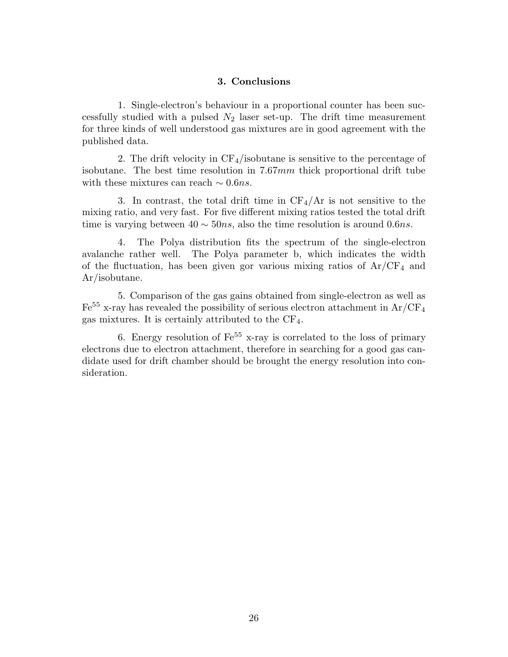### 3. Conclusions

1. Single-electron's behaviour in a proportional counter has been successfully studied with a pulsed  $N_2$  laser set-up. The drift time measurement for three kinds of well understood gas mixtures are in good agreement with the published data.

2. The drift velocity in  $CF_4$ /isobutane is sensitive to the percentage of isobutane. The best time resolution in 7.67mm thick proportional drift tube with these mixtures can reach  $\sim 0.6ns$ .

3. In contrast, the total drift time in  $CF_4/Ar$  is not sensitive to the mixing ratio, and very fast. For five different mixing ratios tested the total drift time is varying between  $40 \sim 50ns$ , also the time resolution is around 0.6ns.

4. The Polya distribution fits the spectrum of the single-electron avalanche rather well. The Polya parameter b, which indicates the width of the fluctuation, has been given gor various mixing ratios of  $Ar/CF<sub>4</sub>$  and Ar/isobutane.

5. Comparison of the gas gains obtained from single-electron as well as  $Fe<sup>55</sup>$  x-ray has revealed the possibility of serious electron attachment in Ar/CF<sub>4</sub> gas mixtures. It is certainly attributed to the CF4.

6. Energy resolution of  $\text{Fe}^{55}$  x-ray is correlated to the loss of primary electrons due to electron attachment, therefore in searching for a good gas candidate used for drift chamber should be brought the energy resolution into consideration.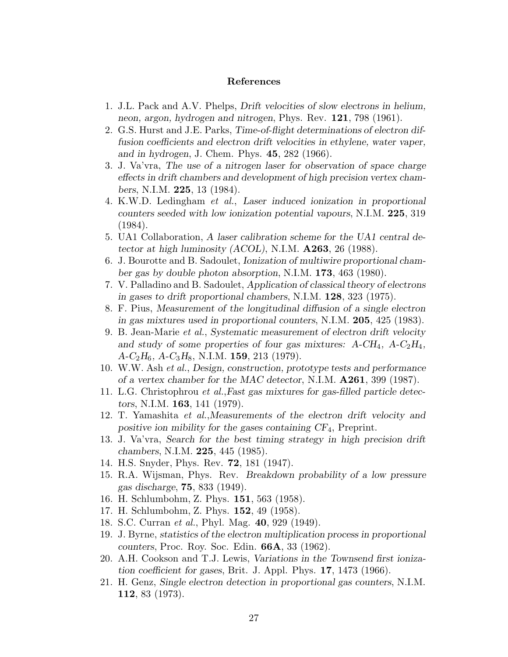- 1. J.L. Pack and A.V. Phelps, *Drift velocities of slow electrons in helium, neon, argon, hydrogen and nitrogen*, Phys. Rev. **121**, 798 (1961).
- 2. G.S. Hurst and J.E. Parks, *Time-of-flight determinations of electron diffusion coefficients and electron drift velocities in ethylene, water vaper, and in hydrogen*, J. Chem. Phys. **45**, 282 (1966).
- 3. J. Va'vra, *The use of a nitrogen laser for observation of space charge effects in drift chambers and development of high precision vertex chambers*, N.I.M. **225**, 13 (1984).
- 4. K.W.D. Ledingham *et al.*, *Laser induced ionization in proportional counters seeded with low ionization potential vapours*, N.I.M. **225**, 319 (1984).
- 5. UA1 Collaboration, *A laser calibration scheme for the UA1 central detector at high luminosity (ACOL)*, N.I.M. **A263**, 26 (1988).
- 6. J. Bourotte and B. Sadoulet, *Ionization of multiwire proportional chamber gas by double photon absorption*, N.I.M. **173**, 463 (1980).
- 7. V. Palladino and B. Sadoulet, *Application of classical theory of electrons in gases to drift proportional chambers*, N.I.M. **128**, 323 (1975).
- 8. F. Pius, *Measurement of the longitudinal diffusion of a single electron in gas mixtures used in proportional counters*, N.I.M. **205**, 425 (1983).
- 9. B. Jean-Marie *et al.*, *Systematic measurement of electron drift velocity and study of some properties of four gas mixtures: A-CH*4*, A-C*2*H*4*, A-C*2*H*6*, A-C*3*H*8, N.I.M. **159**, 213 (1979).
- 10. W.W. Ash *et al.*, *Design, construction, prototype tests and performance of a vertex chamber for the MAC detector*, N.I.M. **A261**, 399 (1987).
- 11. L.G. Christophrou *et al.*,*Fast gas mixtures for gas-filled particle detectors*, N.I.M. **163**, 141 (1979).
- 12. T. Yamashita *et al.*,*Measurements of the electron drift velocity and positive ion mibility for the gases containing CF*4, Preprint.
- 13. J. Va'vra, *Search for the best timing strategy in high precision drift chambers*, N.I.M. **225**, 445 (1985).
- 14. H.S. Snyder, Phys. Rev. **72**, 181 (1947).
- 15. R.A. Wijsman, Phys. Rev. *Breakdown probability of a low pressure gas discharge*, **75**, 833 (1949).
- 16. H. Schlumbohm, Z. Phys. **151**, 563 (1958).
- 17. H. Schlumbohm, Z. Phys. **152**, 49 (1958).
- 18. S.C. Curran *et al.*, Phyl. Mag. **40**, 929 (1949).
- 19. J. Byrne, *statistics of the electron multiplication process in proportional counters*, Proc. Roy. Soc. Edin. **66A**, 33 (1962).
- 20. A.H. Cookson and T.J. Lewis, *Variations in the Townsend first ionization coefficient for gases*, Brit. J. Appl. Phys. **17**, 1473 (1966).
- 21. H. Genz, *Single electron detection in proportional gas counters*, N.I.M. **112**, 83 (1973).